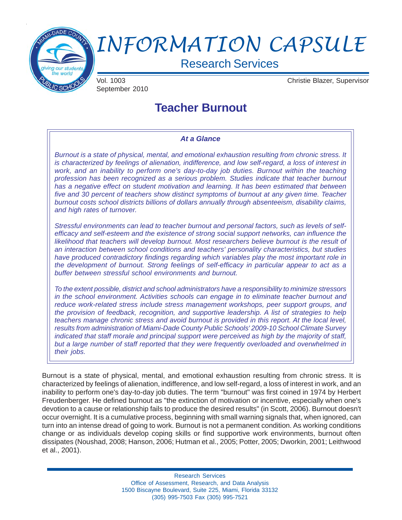

# *INFORMATION CAPSULE*

Research Services

September 2010

Vol. 1003 Christie Blazer, Supervisor

# **Teacher Burnout**

# *At a Glance*

*Burnout is a state of physical, mental, and emotional exhaustion resulting from chronic stress. It is characterized by feelings of alienation, indifference, and low self-regard, a loss of interest in work, and an inability to perform one's day-to-day job duties. Burnout within the teaching profession has been recognized as a serious problem. Studies indicate that teacher burnout has a negative effect on student motivation and learning. It has been estimated that between five and 30 percent of teachers show distinct symptoms of burnout at any given time. Teacher burnout costs school districts billions of dollars annually through absenteeism, disability claims, and high rates of turnover.*

*Stressful environments can lead to teacher burnout and personal factors, such as levels of selfefficacy and self-esteem and the existence of strong social support networks, can influence the likelihood that teachers will develop burnout. Most researchers believe burnout is the result of an interaction between school conditions and teachers' personality characteristics, but studies have produced contradictory findings regarding which variables play the most important role in the development of burnout. Strong feelings of self-efficacy in particular appear to act as a buffer between stressful school environments and burnout.*

*To the extent possible, district and school administrators have a responsibility to minimize stressors in the school environment. Activities schools can engage in to eliminate teacher burnout and reduce work-related stress include stress management workshops, peer support groups, and the provision of feedback, recognition, and supportive leadership. A list of strategies to help teachers manage chronic stress and avoid burnout is provided in this report. At the local level, results from administration of Miami-Dade County Public Schools' 2009-10 School Climate Survey indicated that staff morale and principal support were perceived as high by the majority of staff, but a large number of staff reported that they were frequently overloaded and overwhelmed in their jobs.*

Burnout is a state of physical, mental, and emotional exhaustion resulting from chronic stress. It is characterized by feelings of alienation, indifference, and low self-regard, a loss of interest in work, and an inability to perform one's day-to-day job duties. The term "burnout" was first coined in 1974 by Herbert Freudenberger. He defined burnout as "the extinction of motivation or incentive, especially when one's devotion to a cause or relationship fails to produce the desired results" (in Scott, 2006). Burnout doesn't occur overnight. It is a cumulative process, beginning with small warning signals that, when ignored, can turn into an intense dread of going to work. Burnout is not a permanent condition. As working conditions change or as individuals develop coping skills or find supportive work environments, burnout often dissipates (Noushad, 2008; Hanson, 2006; Hutman et al., 2005; Potter, 2005; Dworkin, 2001; Leithwood et al., 2001).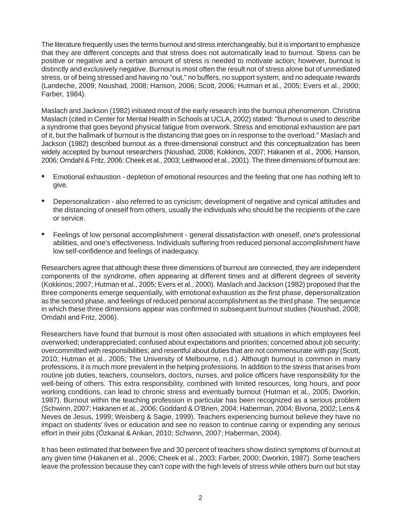The literature frequently uses the terms burnout and stress interchangeably, but it is important to emphasize that they are different concepts and that stress does not automatically lead to burnout. Stress can be positive or negative and a certain amount of stress is needed to motivate action; however, burnout is distinctly and exclusively negative. Burnout is most often the result not of stress alone but of unmediated stress, or of being stressed and having no "out," no buffers, no support system, and no adequate rewards (Landeche, 2009; Noushad, 2008; Hanson, 2006; Scott, 2006; Hutman et al., 2005; Evers et al., 2000; Farber, 1984).

Maslach and Jackson (1982) initiated most of the early research into the burnout phenomenon. Christina Maslach (cited in Center for Mental Health in Schools at UCLA, 2002) stated: "Burnout is used to describe a syndrome that goes beyond physical fatigue from overwork. Stress and emotional exhaustion are part of it, but the hallmark of burnout is the distancing that goes on in response to the overload." Maslach and Jackson (1982) described burnout as a three-dimensional construct and this conceptualization has been widely accepted by burnout researchers (Noushad, 2008; Kokkinos, 2007; Hakanen et al., 2006; Hanson, 2006; Omdahl & Fritz, 2006; Cheek et al., 2003; Leithwood et al., 2001). The three dimensions of burnout are:

- Emotional exhaustion depletion of emotional resources and the feeling that one has nothing left to give.
- Depersonalization also referred to as cynicism; development of negative and cynical attitudes and the distancing of oneself from others, usually the individuals who should be the recipients of the care or service.
- Feelings of low personal accomplishment general dissatisfaction with oneself, one's professional abilities, and one's effectiveness. Individuals suffering from reduced personal accomplishment have low self-confidence and feelings of inadequacy.

Researchers agree that although these three dimensions of burnout are connected, they are independent components of the syndrome, often appearing at different times and at different degrees of severity (Kokkinos, 2007; Hutman et al., 2005; Evers et al., 2000). Maslach and Jackson (1982) proposed that the three components emerge sequentially, with emotional exhaustion as the first phase, depersonalization as the second phase, and feelings of reduced personal accomplishment as the third phase. The sequence in which these three dimensions appear was confirmed in subsequent burnout studies (Noushad, 2008; Omdahl and Fritz, 2006).

Researchers have found that burnout is most often associated with situations in which employees feel overworked; underappreciated; confused about expectations and priorities; concerned about job security; overcommitted with responsibilities; and resentful about duties that are not commensurate with pay (Scott, 2010; Hutman et al., 2005; The University of Melbourne, n.d.). Although burnout is common in many professions, it is much more prevalent in the helping professions. In addition to the stress that arises from routine job duties, teachers, counselors, doctors, nurses, and police officers have responsibility for the well-being of others. This extra responsibility, combined with limited resources, long hours, and poor working conditions, can lead to chronic stress and eventually burnout (Hutman et al., 2005; Dworkin, 1987). Burnout within the teaching profession in particular has been recognized as a serious problem (Schwinn, 2007; Hakanen et al., 2006; Goddard & O'Brien, 2004; Haberman, 2004; Bivona, 2002; Lens & Neves de Jesus, 1999; Weisberg & Sagie, 1999). Teachers experiencing burnout believe they have no impact on students' lives or education and see no reason to continue caring or expending any serious effort in their jobs (Özkanal & Arikan, 2010; Schwinn, 2007; Haberman, 2004).

It has been estimated that between five and 30 percent of teachers show distinct symptoms of burnout at any given time (Hakanen et al., 2006; Cheek et al., 2003; Farber, 2000; Dworkin, 1987). Some teachers leave the profession because they can't cope with the high levels of stress while others burn out but stay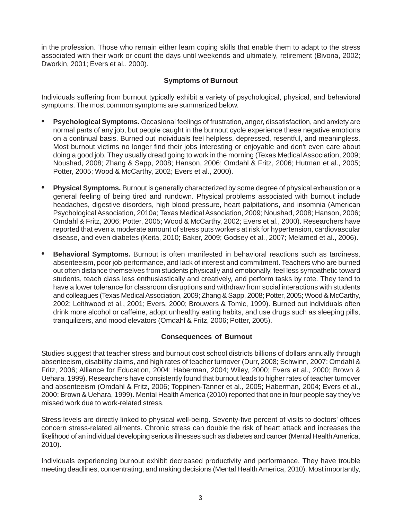in the profession. Those who remain either learn coping skills that enable them to adapt to the stress associated with their work or count the days until weekends and ultimately, retirement (Bivona, 2002; Dworkin, 2001; Evers et al., 2000).

# **Symptoms of Burnout**

Individuals suffering from burnout typically exhibit a variety of psychological, physical, and behavioral symptoms. The most common symptoms are summarized below.

- **Psychological Symptoms.** Occasional feelings of frustration, anger, dissatisfaction, and anxiety are normal parts of any job, but people caught in the burnout cycle experience these negative emotions on a continual basis. Burned out individuals feel helpless, depressed, resentful, and meaningless. Most burnout victims no longer find their jobs interesting or enjoyable and don't even care about doing a good job. They usually dread going to work in the morning (Texas Medical Association, 2009; Noushad, 2008; Zhang & Sapp, 2008; Hanson, 2006; Omdahl & Fritz, 2006; Hutman et al., 2005; Potter, 2005; Wood & McCarthy, 2002; Evers et al., 2000).
- **Physical Symptoms.** Burnout is generally characterized by some degree of physical exhaustion or a general feeling of being tired and rundown. Physical problems associated with burnout include headaches, digestive disorders, high blood pressure, heart palpitations, and insomnia (American Psychological Association, 2010a; Texas Medical Association, 2009; Noushad, 2008; Hanson, 2006; Omdahl & Fritz, 2006; Potter, 2005; Wood & McCarthy, 2002; Evers et al., 2000). Researchers have reported that even a moderate amount of stress puts workers at risk for hypertension, cardiovascular disease, and even diabetes (Keita, 2010; Baker, 2009; Godsey et al., 2007; Melamed et al., 2006).
- **Behavioral Symptoms.** Burnout is often manifested in behavioral reactions such as tardiness, absenteeism, poor job performance, and lack of interest and commitment. Teachers who are burned out often distance themselves from students physically and emotionally, feel less sympathetic toward students, teach class less enthusiastically and creatively, and perform tasks by rote. They tend to have a lower tolerance for classroom disruptions and withdraw from social interactions with students and colleagues (Texas Medical Association, 2009; Zhang & Sapp, 2008; Potter, 2005; Wood & McCarthy, 2002; Leithwood et al., 2001; Evers, 2000; Brouwers & Tomic, 1999). Burned out individuals often drink more alcohol or caffeine, adopt unhealthy eating habits, and use drugs such as sleeping pills, tranquilizers, and mood elevators (Omdahl & Fritz, 2006; Potter, 2005).

# **Consequences of Burnout**

Studies suggest that teacher stress and burnout cost school districts billions of dollars annually through absenteeism, disability claims, and high rates of teacher turnover (Durr, 2008; Schwinn, 2007; Omdahl & Fritz, 2006; Alliance for Education, 2004; Haberman, 2004; Wiley, 2000; Evers et al., 2000; Brown & Uehara, 1999). Researchers have consistently found that burnout leads to higher rates of teacher turnover and absenteeism (Omdahl & Fritz, 2006; Toppinen-Tanner et al., 2005; Haberman, 2004; Evers et al., 2000; Brown & Uehara, 1999). Mental Health America (2010) reported that one in four people say they've missed work due to work-related stress.

Stress levels are directly linked to physical well-being. Seventy-five percent of visits to doctors' offices concern stress-related ailments. Chronic stress can double the risk of heart attack and increases the likelihood of an individual developing serious illnesses such as diabetes and cancer (Mental Health America, 2010).

Individuals experiencing burnout exhibit decreased productivity and performance. They have trouble meeting deadlines, concentrating, and making decisions (Mental Health America, 2010). Most importantly,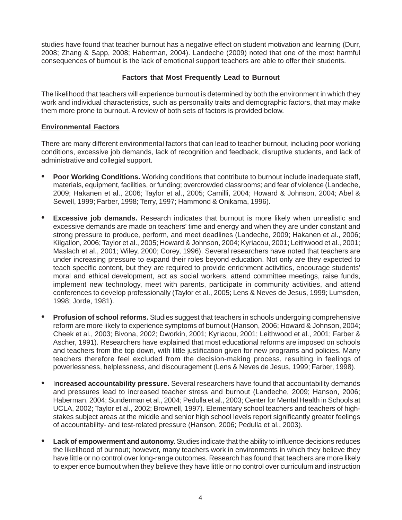studies have found that teacher burnout has a negative effect on student motivation and learning (Durr, 2008; Zhang & Sapp, 2008; Haberman, 2004). Landeche (2009) noted that one of the most harmful consequences of burnout is the lack of emotional support teachers are able to offer their students.

## **Factors that Most Frequently Lead to Burnout**

The likelihood that teachers will experience burnout is determined by both the environment in which they work and individual characteristics, such as personality traits and demographic factors, that may make them more prone to burnout. A review of both sets of factors is provided below.

#### **Environmental Factors**

There are many different environmental factors that can lead to teacher burnout, including poor working conditions, excessive job demands, lack of recognition and feedback, disruptive students, and lack of administrative and collegial support.

- **Poor Working Conditions.** Working conditions that contribute to burnout include inadequate staff, materials, equipment, facilities, or funding; overcrowded classrooms; and fear of violence (Landeche, 2009; Hakanen et al., 2006; Taylor et al., 2005; Camilli, 2004; Howard & Johnson, 2004; Abel & Sewell, 1999; Farber, 1998; Terry, 1997; Hammond & Onikama, 1996).
- **Excessive job demands.** Research indicates that burnout is more likely when unrealistic and excessive demands are made on teachers' time and energy and when they are under constant and strong pressure to produce, perform, and meet deadlines (Landeche, 2009; Hakanen et al., 2006; Kilgallon, 2006; Taylor et al., 2005; Howard & Johnson, 2004; Kyriacou, 2001; Leithwood et al., 2001; Maslach et al., 2001; Wiley, 2000; Corey, 1996). Several researchers have noted that teachers are under increasing pressure to expand their roles beyond education. Not only are they expected to teach specific content, but they are required to provide enrichment activities, encourage students' moral and ethical development, act as social workers, attend committee meetings, raise funds, implement new technology, meet with parents, participate in community activities, and attend conferences to develop professionally (Taylor et al., 2005; Lens & Neves de Jesus, 1999; Lumsden, 1998; Jorde, 1981).
- **Profusion of school reforms.** Studies suggest that teachers in schools undergoing comprehensive reform are more likely to experience symptoms of burnout (Hanson, 2006; Howard & Johnson, 2004; Cheek et al., 2003; Bivona, 2002; Dworkin, 2001; Kyriacou, 2001; Leithwood et al., 2001; Farber & Ascher, 1991). Researchers have explained that most educational reforms are imposed on schools and teachers from the top down, with little justification given for new programs and policies. Many teachers therefore feel excluded from the decision-making process, resulting in feelings of powerlessness, helplessness, and discouragement (Lens & Neves de Jesus, 1999; Farber, 1998).
- I**ncreased accountability pressure.** Several researchers have found that accountability demands and pressures lead to increased teacher stress and burnout (Landeche, 2009; Hanson, 2006; Haberman, 2004; Sunderman et al., 2004; Pedulla et al., 2003; Center for Mental Health in Schools at UCLA, 2002; Taylor et al., 2002; Brownell, 1997). Elementary school teachers and teachers of highstakes subject areas at the middle and senior high school levels report significantly greater feelings of accountability- and test-related pressure (Hanson, 2006; Pedulla et al., 2003).
- **Lack of empowerment and autonomy.** Studies indicate that the ability to influence decisions reduces the likelihood of burnout; however, many teachers work in environments in which they believe they have little or no control over long-range outcomes. Research has found that teachers are more likely to experience burnout when they believe they have little or no control over curriculum and instruction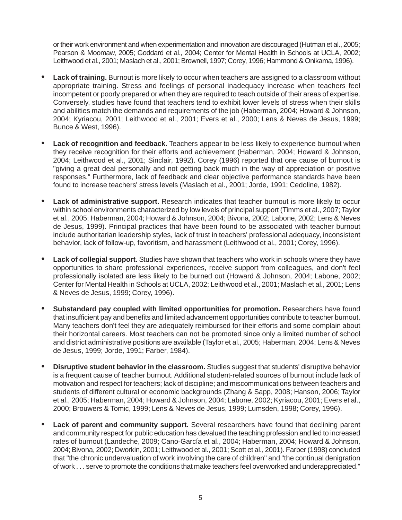or their work environment and when experimentation and innovation are discouraged (Hutman et al., 2005; Pearson & Moomaw, 2005; Goddard et al., 2004; Center for Mental Health in Schools at UCLA, 2002; Leithwood et al., 2001; Maslach et al., 2001; Brownell, 1997; Corey, 1996; Hammond & Onikama, 1996).

- **Lack of training.** Burnout is more likely to occur when teachers are assigned to a classroom without appropriate training. Stress and feelings of personal inadequacy increase when teachers feel incompetent or poorly prepared or when they are required to teach outside of their areas of expertise. Conversely, studies have found that teachers tend to exhibit lower levels of stress when their skills and abilities match the demands and requirements of the job (Haberman, 2004; Howard & Johnson, 2004; Kyriacou, 2001; Leithwood et al., 2001; Evers et al., 2000; Lens & Neves de Jesus, 1999; Bunce & West, 1996).
- **Lack of recognition and feedback.** Teachers appear to be less likely to experience burnout when they receive recognition for their efforts and achievement (Haberman, 2004; Howard & Johnson, 2004; Leithwood et al., 2001; Sinclair, 1992). Corey (1996) reported that one cause of burnout is "giving a great deal personally and not getting back much in the way of appreciation or positive responses." Furthermore, lack of feedback and clear objective performance standards have been found to increase teachers' stress levels (Maslach et al., 2001; Jorde, 1991; Cedoline, 1982).
- Lack of administrative support. Research indicates that teacher burnout is more likely to occur within school environments characterized by low levels of principal support (Timms et al., 2007; Taylor et al., 2005; Haberman, 2004; Howard & Johnson, 2004; Bivona, 2002; Labone, 2002; Lens & Neves de Jesus, 1999). Principal practices that have been found to be associated with teacher burnout include authoritarian leadership styles, lack of trust in teachers' professional adequacy, inconsistent behavior, lack of follow-up, favoritism, and harassment (Leithwood et al., 2001; Corey, 1996).
- **Lack of collegial support.** Studies have shown that teachers who work in schools where they have opportunities to share professional experiences, receive support from colleagues, and don't feel professionally isolated are less likely to be burned out (Howard & Johnson, 2004; Labone, 2002; Center for Mental Health in Schools at UCLA, 2002; Leithwood et al., 2001; Maslach et al., 2001; Lens & Neves de Jesus, 1999; Corey, 1996).
- **Substandard pay coupled with limited opportunities for promotion.** Researchers have found that insufficient pay and benefits and limited advancement opportunities contribute to teacher burnout. Many teachers don't feel they are adequately reimbursed for their efforts and some complain about their horizontal careers. Most teachers can not be promoted since only a limited number of school and district administrative positions are available (Taylor et al., 2005; Haberman, 2004; Lens & Neves de Jesus, 1999; Jorde, 1991; Farber, 1984).
- **Disruptive student behavior in the classroom.** Studies suggest that students' disruptive behavior is a frequent cause of teacher burnout. Additional student-related sources of burnout include lack of motivation and respect for teachers; lack of discipline; and miscommunications between teachers and students of different cultural or economic backgrounds (Zhang & Sapp, 2008; Hanson, 2006; Taylor et al., 2005; Haberman, 2004; Howard & Johnson, 2004; Labone, 2002; Kyriacou, 2001; Evers et al., 2000; Brouwers & Tomic, 1999; Lens & Neves de Jesus, 1999; Lumsden, 1998; Corey, 1996).
- **Lack of parent and community support.** Several researchers have found that declining parent and community respect for public education has devalued the teaching profession and led to increased rates of burnout (Landeche, 2009; Cano-García et al., 2004; Haberman, 2004; Howard & Johnson, 2004; Bivona, 2002; Dworkin, 2001; Leithwood et al., 2001; Scott et al., 2001). Farber (1998) concluded that "the chronic undervaluation of work involving the care of children" and "the continual denigration of work . . . serve to promote the conditions that make teachers feel overworked and underappreciated."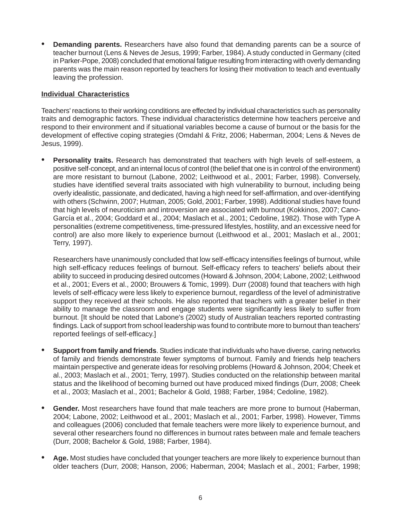• **Demanding parents.** Researchers have also found that demanding parents can be a source of teacher burnout (Lens & Neves de Jesus, 1999; Farber, 1984). A study conducted in Germany (cited in Parker-Pope, 2008) concluded that emotional fatigue resulting from interacting with overly demanding parents was the main reason reported by teachers for losing their motivation to teach and eventually leaving the profession.

## **Individual Characteristics**

Teachers' reactions to their working conditions are effected by individual characteristics such as personality traits and demographic factors. These individual characteristics determine how teachers perceive and respond to their environment and if situational variables become a cause of burnout or the basis for the development of effective coping strategies (Omdahl & Fritz, 2006; Haberman, 2004; Lens & Neves de Jesus, 1999).

• **Personality traits.** Research has demonstrated that teachers with high levels of self-esteem, a positive self-concept, and an internal locus of control (the belief that one is in control of the environment) are more resistant to burnout (Labone, 2002; Leithwood et al., 2001; Farber, 1998). Conversely, studies have identified several traits associated with high vulnerability to burnout, including being overly idealistic, passionate, and dedicated, having a high need for self-affirmation, and over-identifying with others (Schwinn, 2007; Hutman, 2005; Gold, 2001; Farber, 1998). Additional studies have found that high levels of neuroticism and introversion are associated with burnout (Kokkinos, 2007; Cano-García et al., 2004; Goddard et al., 2004; Maslach et al., 2001; Cedoline, 1982). Those with Type A personalities (extreme competitiveness, time-pressured lifestyles, hostility, and an excessive need for control) are also more likely to experience burnout (Leithwood et al., 2001; Maslach et al., 2001; Terry, 1997).

Researchers have unanimously concluded that low self-efficacy intensifies feelings of burnout, while high self-efficacy reduces feelings of burnout. Self-efficacy refers to teachers' beliefs about their ability to succeed in producing desired outcomes (Howard & Johnson, 2004; Labone, 2002; Leithwood et al., 2001; Evers et al., 2000; Brouwers & Tomic, 1999). Durr (2008) found that teachers with high levels of self-efficacy were less likely to experience burnout, regardless of the level of administrative support they received at their schools. He also reported that teachers with a greater belief in their ability to manage the classroom and engage students were significantly less likely to suffer from burnout. [It should be noted that Labone's (2002) study of Australian teachers reported contrasting findings. Lack of support from school leadership was found to contribute more to burnout than teachers' reported feelings of self-efficacy.]

- **Support from family and friends**. Studies indicate that individuals who have diverse, caring networks of family and friends demonstrate fewer symptoms of burnout. Family and friends help teachers maintain perspective and generate ideas for resolving problems (Howard & Johnson, 2004; Cheek et al., 2003; Maslach et al., 2001; Terry, 1997). Studies conducted on the relationship between marital status and the likelihood of becoming burned out have produced mixed findings (Durr, 2008; Cheek et al., 2003; Maslach et al., 2001; Bachelor & Gold, 1988; Farber, 1984; Cedoline, 1982).
- **Gender.** Most researchers have found that male teachers are more prone to burnout (Haberman, 2004; Labone, 2002; Leithwood et al., 2001; Maslach et al., 2001; Farber, 1998). However, Timms and colleagues (2006) concluded that female teachers were more likely to experience burnout, and several other researchers found no differences in burnout rates between male and female teachers (Durr, 2008; Bachelor & Gold, 1988; Farber, 1984).
- **Age.** Most studies have concluded that younger teachers are more likely to experience burnout than older teachers (Durr, 2008; Hanson, 2006; Haberman, 2004; Maslach et al., 2001; Farber, 1998;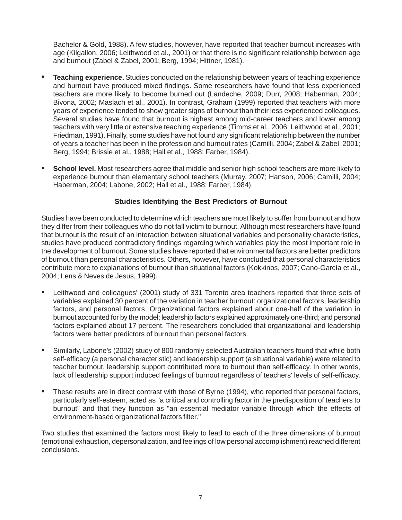Bachelor & Gold, 1988). A few studies, however, have reported that teacher burnout increases with age (Kilgallon, 2006; Leithwood et al., 2001) or that there is no significant relationship between age and burnout (Zabel & Zabel, 2001; Berg, 1994; Hittner, 1981).

- **Teaching experience.** Studies conducted on the relationship between years of teaching experience and burnout have produced mixed findings. Some researchers have found that less experienced teachers are more likely to become burned out (Landeche, 2009; Durr, 2008; Haberman, 2004; Bivona, 2002; Maslach et al., 2001). In contrast, Graham (1999) reported that teachers with more years of experience tended to show greater signs of burnout than their less experienced colleagues. Several studies have found that burnout is highest among mid-career teachers and lower among teachers with very little or extensive teaching experience (Timms et al., 2006; Leithwood et al., 2001; Friedman, 1991). Finally, some studies have not found any significant relationship between the number of years a teacher has been in the profession and burnout rates (Camilli, 2004; Zabel & Zabel, 2001; Berg, 1994; Brissie et al., 1988; Hall et al., 1988; Farber, 1984).
- **School level.** Most researchers agree that middle and senior high school teachers are more likely to experience burnout than elementary school teachers (Murray, 2007; Hanson, 2006; Camilli, 2004; Haberman, 2004; Labone, 2002; Hall et al., 1988; Farber, 1984).

# **Studies Identifying the Best Predictors of Burnout**

Studies have been conducted to determine which teachers are most likely to suffer from burnout and how they differ from their colleagues who do not fall victim to burnout. Although most researchers have found that burnout is the result of an interaction between situational variables and personality characteristics, studies have produced contradictory findings regarding which variables play the most important role in the development of burnout. Some studies have reported that environmental factors are better predictors of burnout than personal characteristics. Others, however, have concluded that personal characteristics contribute more to explanations of burnout than situational factors (Kokkinos, 2007; Cano-García et al., 2004; Lens & Neves de Jesus, 1999).

- Leithwood and colleagues' (2001) study of 331 Toronto area teachers reported that three sets of variables explained 30 percent of the variation in teacher burnout: organizational factors, leadership factors, and personal factors. Organizational factors explained about one-half of the variation in burnout accounted for by the model; leadership factors explained approximately one-third; and personal factors explained about 17 percent. The researchers concluded that organizational and leadership factors were better predictors of burnout than personal factors.
- Similarly, Labone's (2002) study of 800 randomly selected Australian teachers found that while both self-efficacy (a personal characteristic) and leadership support (a situational variable) were related to teacher burnout, leadership support contributed more to burnout than self-efficacy. In other words, lack of leadership support induced feelings of burnout regardless of teachers' levels of self-efficacy.
- These results are in direct contrast with those of Byrne (1994), who reported that personal factors, particularly self-esteem, acted as "a critical and controlling factor in the predisposition of teachers to burnout" and that they function as "an essential mediator variable through which the effects of environment-based organizational factors filter."

Two studies that examined the factors most likely to lead to each of the three dimensions of burnout (emotional exhaustion, depersonalization, and feelings of low personal accomplishment) reached different conclusions.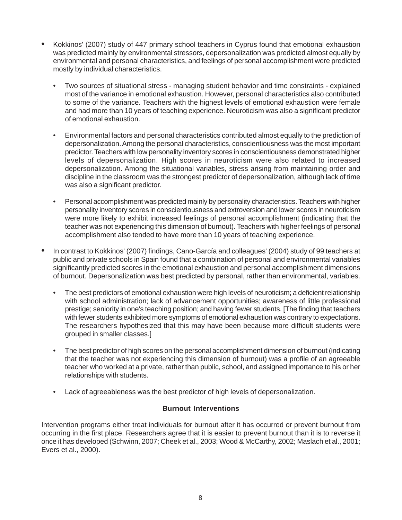- Kokkinos' (2007) study of 447 primary school teachers in Cyprus found that emotional exhaustion was predicted mainly by environmental stressors, depersonalization was predicted almost equally by environmental and personal characteristics, and feelings of personal accomplishment were predicted mostly by individual characteristics.
	- Two sources of situational stress managing student behavior and time constraints explained most of the variance in emotional exhaustion. However, personal characteristics also contributed to some of the variance. Teachers with the highest levels of emotional exhaustion were female and had more than 10 years of teaching experience. Neuroticism was also a significant predictor of emotional exhaustion.
	- Environmental factors and personal characteristics contributed almost equally to the prediction of depersonalization. Among the personal characteristics, conscientiousness was the most important predictor. Teachers with low personality inventory scores in conscientiousness demonstrated higher levels of depersonalization. High scores in neuroticism were also related to increased depersonalization. Among the situational variables, stress arising from maintaining order and discipline in the classroom was the strongest predictor of depersonalization, although lack of time was also a significant predictor.
	- Personal accomplishment was predicted mainly by personality characteristics. Teachers with higher personality inventory scores in conscientiousness and extroversion and lower scores in neuroticism were more likely to exhibit increased feelings of personal accomplishment (indicating that the teacher was not experiencing this dimension of burnout). Teachers with higher feelings of personal accomplishment also tended to have more than 10 years of teaching experience.
- In contrast to Kokkinos' (2007) findings, Cano-García and colleagues' (2004) study of 99 teachers at public and private schools in Spain found that a combination of personal and environmental variables significantly predicted scores in the emotional exhaustion and personal accomplishment dimensions of burnout. Depersonalization was best predicted by personal, rather than environmental, variables.
	- The best predictors of emotional exhaustion were high levels of neuroticism; a deficient relationship with school administration; lack of advancement opportunities; awareness of little professional prestige; seniority in one's teaching position; and having fewer students. [The finding that teachers with fewer students exhibited more symptoms of emotional exhaustion was contrary to expectations. The researchers hypothesized that this may have been because more difficult students were grouped in smaller classes.]
	- The best predictor of high scores on the personal accomplishment dimension of burnout (indicating that the teacher was not experiencing this dimension of burnout) was a profile of an agreeable teacher who worked at a private, rather than public, school, and assigned importance to his or her relationships with students.
	- Lack of agreeableness was the best predictor of high levels of depersonalization.

# **Burnout Interventions**

Intervention programs either treat individuals for burnout after it has occurred or prevent burnout from occurring in the first place. Researchers agree that it is easier to prevent burnout than it is to reverse it once it has developed (Schwinn, 2007; Cheek et al., 2003; Wood & McCarthy, 2002; Maslach et al., 2001; Evers et al., 2000).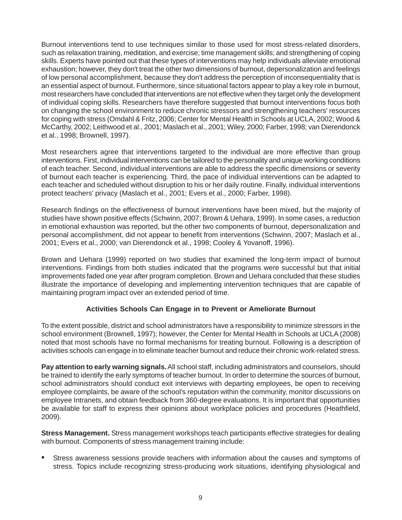Burnout interventions tend to use techniques similar to those used for most stress-related disorders, such as relaxation training, meditation, and exercise; time management skills; and strengthening of coping skills. Experts have pointed out that these types of interventions may help individuals alleviate emotional exhaustion; however, they don't treat the other two dimensions of burnout, depersonalization and feelings of low personal accomplishment, because they don't address the perception of inconsequentiality that is an essential aspect of burnout. Furthermore, since situational factors appear to play a key role in burnout, most researchers have concluded that interventions are not effective when they target only the development of individual coping skills. Researchers have therefore suggested that burnout interventions focus both on changing the school environment to reduce chronic stressors and strengthening teachers' resources for coping with stress (Omdahl & Fritz, 2006; Center for Mental Health in Schools at UCLA, 2002; Wood & McCarthy, 2002; Leithwood et al., 2001; Maslach et al., 2001; Wiley, 2000; Farber, 1998; van Dierendonck et al., 1998; Brownell, 1997).

Most researchers agree that interventions targeted to the individual are more effective than group interventions. First, individual interventions can be tailored to the personality and unique working conditions of each teacher. Second, individual interventions are able to address the specific dimensions or severity of burnout each teacher is experiencing. Third, the pace of individual interventions can be adapted to each teacher and scheduled without disruption to his or her daily routine. Finally, individual interventions protect teachers' privacy (Maslach et al., 2001; Evers et al., 2000; Farber, 1998).

Research findings on the effectiveness of burnout interventions have been mixed, but the majority of studies have shown positive effects (Schwinn, 2007; Brown & Uehara, 1999). In some cases, a reduction in emotional exhaustion was reported, but the other two components of burnout, depersonalization and personal accomplishment, did not appear to benefit from interventions (Schwinn, 2007; Maslach et al., 2001; Evers et al., 2000; van Dierendonck et al., 1998; Cooley & Yovanoff, 1996).

Brown and Uehara (1999) reported on two studies that examined the long-term impact of burnout interventions. Findings from both studies indicated that the programs were successful but that initial improvements faded one year after program completion. Brown and Uehara concluded that these studies illustrate the importance of developing and implementing intervention techniques that are capable of maintaining program impact over an extended period of time.

# **Activities Schools Can Engage in to Prevent or Ameliorate Burnout**

To the extent possible, district and school administrators have a responsibility to minimize stressors in the school environment (Brownell, 1997); however, the Center for Mental Health in Schools at UCLA (2008) noted that most schools have no formal mechanisms for treating burnout. Following is a description of activities schools can engage in to eliminate teacher burnout and reduce their chronic work-related stress.

**Pay attention to early warning signals.** All school staff, including administrators and counselors, should be trained to identify the early symptoms of teacher burnout. In order to determine the sources of burnout, school administrators should conduct exit interviews with departing employees, be open to receiving employee complaints, be aware of the school's reputation within the community, monitor discussions on employee Intranets, and obtain feedback from 360-degree evaluations. It is important that opportunities be available for staff to express their opinions about workplace policies and procedures (Heathfield, 2009).

**Stress Management.** Stress management workshops teach participants effective strategies for dealing with burnout. Components of stress management training include:

• Stress awareness sessions provide teachers with information about the causes and symptoms of stress. Topics include recognizing stress-producing work situations, identifying physiological and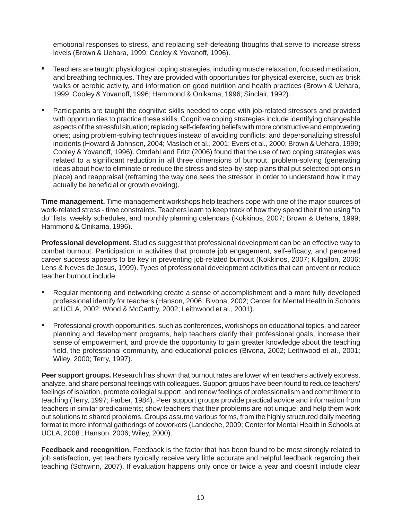emotional responses to stress, and replacing self-defeating thoughts that serve to increase stress levels (Brown & Uehara, 1999; Cooley & Yovanoff, 1996).

- Teachers are taught physiological coping strategies, including muscle relaxation, focused meditation, and breathing techniques. They are provided with opportunities for physical exercise, such as brisk walks or aerobic activity, and information on good nutrition and health practices (Brown & Uehara, 1999; Cooley & Yovanoff, 1996; Hammond & Onikama, 1996; Sinclair, 1992).
- Participants are taught the cognitive skills needed to cope with job-related stressors and provided with opportunities to practice these skills. Cognitive coping strategies include identifying changeable aspects of the stressful situation; replacing self-defeating beliefs with more constructive and empowering ones; using problem-solving techniques instead of avoiding conflicts; and depersonalizing stressful incidents (Howard & Johnson, 2004; Maslach et al., 2001; Evers et al., 2000; Brown & Uehara, 1999; Cooley & Yovanoff, 1996). Omdahl and Fritz (2006) found that the use of two coping strategies was related to a significant reduction in all three dimensions of burnout: problem-solving (generating ideas about how to eliminate or reduce the stress and step-by-step plans that put selected options in place) and reappraisal (reframing the way one sees the stressor in order to understand how it may actually be beneficial or growth evoking).

**Time management.** Time management workshops help teachers cope with one of the major sources of work-related stress - time constraints. Teachers learn to keep track of how they spend their time using "to do" lists, weekly schedules, and monthly planning calendars (Kokkinos, 2007; Brown & Uehara, 1999; Hammond & Onikama, 1996).

**Professional development.** Studies suggest that professional development can be an effective way to combat burnout. Participation in activities that promote job engagement, self-efficacy, and perceived career success appears to be key in preventing job-related burnout (Kokkinos, 2007; Kilgallon, 2006; Lens & Neves de Jesus, 1999). Types of professional development activities that can prevent or reduce teacher burnout include:

- Regular mentoring and networking create a sense of accomplishment and a more fully developed professional identify for teachers (Hanson, 2006; Bivona, 2002; Center for Mental Health in Schools at UCLA, 2002; Wood & McCarthy, 2002; Leithwood et al., 2001).
- Professional growth opportunities, such as conferences, workshops on educational topics, and career planning and development programs, help teachers clarify their professional goals, increase their sense of empowerment, and provide the opportunity to gain greater knowledge about the teaching field, the professional community, and educational policies (Bivona, 2002; Leithwood et al., 2001; Wiley, 2000; Terry, 1997).

**Peer support groups.** Research has shown that burnout rates are lower when teachers actively express, analyze, and share personal feelings with colleagues. Support groups have been found to reduce teachers' feelings of isolation, promote collegial support, and renew feelings of professionalism and commitment to teaching (Terry, 1997; Farber, 1984). Peer support groups provide practical advice and information from teachers in similar predicaments; show teachers that their problems are not unique; and help them work out solutions to shared problems. Groups assume various forms, from the highly structured daily meeting format to more informal gatherings of coworkers (Landeche, 2009; Center for Mental Health in Schools at UCLA, 2008 ; Hanson, 2006; Wiley, 2000).

**Feedback and recognition.** Feedback is the factor that has been found to be most strongly related to job satisfaction, yet teachers typically receive very little accurate and helpful feedback regarding their teaching (Schwinn, 2007). If evaluation happens only once or twice a year and doesn't include clear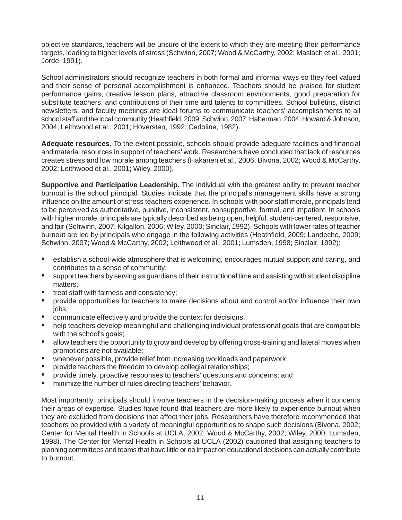objective standards, teachers will be unsure of the extent to which they are meeting their performance targets, leading to higher levels of stress (Schwinn, 2007; Wood & McCarthy, 2002; Maslach et al., 2001; Jorde, 1991).

School administrators should recognize teachers in both formal and informal ways so they feel valued and their sense of personal accomplishment is enhanced. Teachers should be praised for student performance gains, creative lesson plans, attractive classroom environments, good preparation for substitute teachers, and contributions of their time and talents to committees. School bulletins, district newsletters, and faculty meetings are ideal forums to communicate teachers' accomplishments to all school staff and the local community (Heathfield, 2009; Schwinn, 2007; Haberman, 2004; Howard & Johnson, 2004; Leithwood et al., 2001; Hoversten, 1992; Cedoline, 1982).

**Adequate resources.** To the extent possible, schools should provide adequate facilities and financial and material resources in support of teachers' work. Researchers have concluded that lack of resources creates stress and low morale among teachers (Hakanen et al., 2006; Bivona, 2002; Wood & McCarthy, 2002; Leithwood et al., 2001; Wiley, 2000).

**Supportive and Participative Leadership.** The individual with the greatest ability to prevent teacher burnout is the school principal. Studies indicate that the principal's management skills have a strong influence on the amount of stress teachers experience. In schools with poor staff morale, principals tend to be perceived as authoritative, punitive, inconsistent, nonsupportive, formal, and impatient. In schools with higher morale, principals are typically described as being open, helpful, student-centered, responsive, and fair (Schwinn, 2007; Kilgallon, 2006; Wiley, 2000; Sinclair, 1992). Schools with lower rates of teacher burnout are led by principals who engage in the following activities (Heathfield, 2009; Landeche, 2009; Schwinn, 2007; Wood & McCarthy, 2002; Leithwood et al., 2001; Lumsden, 1998; Sinclair, 1992):

- establish a school-wide atmosphere that is welcoming, encourages mutual support and caring, and contributes to a sense of community;
- support teachers by serving as guardians of their instructional time and assisting with student discipline matters;
- treat staff with fairness and consistency;
- provide opportunities for teachers to make decisions about and control and/or influence their own jobs:
- communicate effectively and provide the context for decisions;
- help teachers develop meaningful and challenging individual professional goals that are compatible with the school's goals;
- allow teachers the opportunity to grow and develop by offering cross-training and lateral moves when promotions are not available;
- whenever possible, provide relief from increasing workloads and paperwork;
- provide teachers the freedom to develop collegial relationships;
- provide timely, proactive responses to teachers' questions and concerns; and
- minimize the number of rules directing teachers' behavior.

Most importantly, principals should involve teachers in the decision-making process when it concerns their areas of expertise. Studies have found that teachers are more likely to experience burnout when they are excluded from decisions that affect their jobs. Researchers have therefore recommended that teachers be provided with a variety of meaningful opportunities to shape such decisions (Bivona, 2002; Center for Mental Health in Schools at UCLA, 2002; Wood & McCarthy, 2002; Wiley, 2000; Lumsden, 1998). The Center for Mental Health in Schools at UCLA (2002) cautioned that assigning teachers to planning committees and teams that have little or no impact on educational decisions can actually contribute to burnout.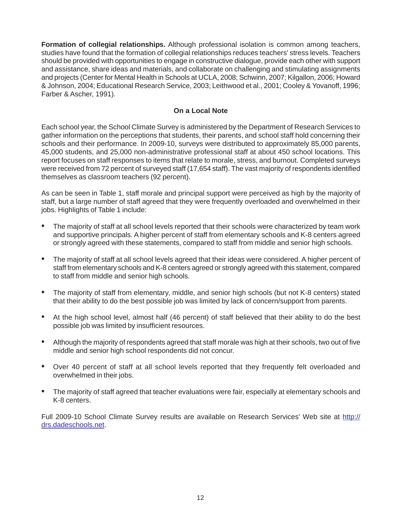**Formation of collegial relationships.** Although professional isolation is common among teachers, studies have found that the formation of collegial relationships reduces teachers' stress levels. Teachers should be provided with opportunities to engage in constructive dialogue, provide each other with support and assistance, share ideas and materials, and collaborate on challenging and stimulating assignments and projects (Center for Mental Health in Schools at UCLA, 2008; Schwinn, 2007; Kilgallon, 2006; Howard & Johnson, 2004; Educational Research Service, 2003; Leithwood et al., 2001; Cooley & Yovanoff, 1996; Farber & Ascher, 1991).

## **On a Local Note**

Each school year, the School Climate Survey is administered by the Department of Research Services to gather information on the perceptions that students, their parents, and school staff hold concerning their schools and their performance. In 2009-10, surveys were distributed to approximately 85,000 parents, 45,000 students, and 25,000 non-administrative professional staff at about 450 school locations. This report focuses on staff responses to items that relate to morale, stress, and burnout. Completed surveys were received from 72 percent of surveyed staff (17,654 staff). The vast majority of respondents identified themselves as classroom teachers (92 percent).

As can be seen in Table 1, staff morale and principal support were perceived as high by the majority of staff, but a large number of staff agreed that they were frequently overloaded and overwhelmed in their jobs. Highlights of Table 1 include:

- The majority of staff at all school levels reported that their schools were characterized by team work and supportive principals. A higher percent of staff from elementary schools and K-8 centers agreed or strongly agreed with these statements, compared to staff from middle and senior high schools.
- The majority of staff at all school levels agreed that their ideas were considered. A higher percent of staff from elementary schools and K-8 centers agreed or strongly agreed with this statement, compared to staff from middle and senior high schools.
- The majority of staff from elementary, middle, and senior high schools (but not K-8 centers) stated that their ability to do the best possible job was limited by lack of concern/support from parents.
- At the high school level, almost half (46 percent) of staff believed that their ability to do the best possible job was limited by insufficient resources.
- Although the majority of respondents agreed that staff morale was high at their schools, two out of five middle and senior high school respondents did not concur.
- Over 40 percent of staff at all school levels reported that they frequently felt overloaded and overwhelmed in their jobs.
- The majority of staff agreed that teacher evaluations were fair, especially at elementary schools and K-8 centers.

Full 2009-10 School Climate Survey results are available on Research Services' Web site at http:// drs.dadeschools.net.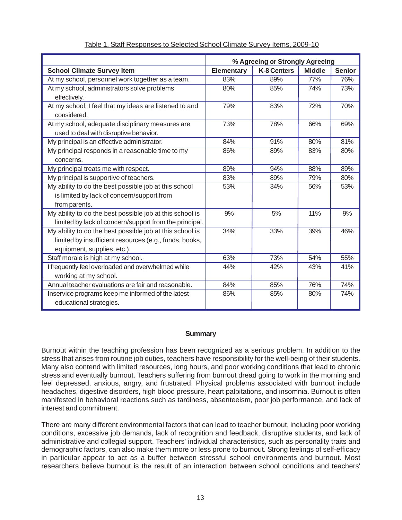|                                                          | % Agreeing or Strongly Agreeing |                    |               |               |
|----------------------------------------------------------|---------------------------------|--------------------|---------------|---------------|
| <b>School Climate Survey Item</b>                        | <b>Elementary</b>               | <b>K-8 Centers</b> | <b>Middle</b> | <b>Senior</b> |
| At my school, personnel work together as a team.         | 83%                             | 89%                | 77%           | 76%           |
| At my school, administrators solve problems              | 80%                             | 85%                | 74%           | 73%           |
| effectively.                                             |                                 |                    |               |               |
| At my school, I feel that my ideas are listened to and   | 79%                             | 83%                | 72%           | 70%           |
| considered.                                              |                                 |                    |               |               |
| At my school, adequate disciplinary measures are         | 73%                             | 78%                | 66%           | 69%           |
| used to deal with disruptive behavior.                   |                                 |                    |               |               |
| My principal is an effective administrator.              | 84%                             | 91%                | 80%           | 81%           |
| My principal responds in a reasonable time to my         | 86%                             | 89%                | 83%           | 80%           |
| concerns.                                                |                                 |                    |               |               |
| My principal treats me with respect.                     | 89%                             | 94%                | 88%           | 89%           |
| My principal is supportive of teachers.                  | 83%                             | 89%                | 79%           | 80%           |
| My ability to do the best possible job at this school    | 53%                             | 34%                | 56%           | 53%           |
| is limited by lack of concern/support from               |                                 |                    |               |               |
| from parents.                                            |                                 |                    |               |               |
| My ability to do the best possible job at this school is | 9%                              | 5%                 | 11%           | 9%            |
| limited by lack of concern/support from the principal.   |                                 |                    |               |               |
| My ability to do the best possible job at this school is | 34%                             | 33%                | 39%           | 46%           |
| limited by insufficient resources (e.g., funds, books,   |                                 |                    |               |               |
| equipment, supplies, etc.).                              |                                 |                    |               |               |
| Staff morale is high at my school.                       | 63%                             | 73%                | 54%           | 55%           |
| I frequently feel overloaded and overwhelmed while       | 44%                             | 42%                | 43%           | 41%           |
| working at my school.                                    |                                 |                    |               |               |
| Annual teacher evaluations are fair and reasonable.      | 84%                             | 85%                | 76%           | 74%           |
| Inservice programs keep me informed of the latest        | 86%                             | 85%                | 80%           | 74%           |
| educational strategies.                                  |                                 |                    |               |               |

#### Table 1. Staff Responses to Selected School Climate Survey Items, 2009-10

#### **Summary**

Burnout within the teaching profession has been recognized as a serious problem. In addition to the stress that arises from routine job duties, teachers have responsibility for the well-being of their students. Many also contend with limited resources, long hours, and poor working conditions that lead to chronic stress and eventually burnout. Teachers suffering from burnout dread going to work in the morning and feel depressed, anxious, angry, and frustrated. Physical problems associated with burnout include headaches, digestive disorders, high blood pressure, heart palpitations, and insomnia. Burnout is often manifested in behavioral reactions such as tardiness, absenteeism, poor job performance, and lack of interest and commitment.

There are many different environmental factors that can lead to teacher burnout, including poor working conditions, excessive job demands, lack of recognition and feedback, disruptive students, and lack of administrative and collegial support. Teachers' individual characteristics, such as personality traits and demographic factors, can also make them more or less prone to burnout. Strong feelings of self-efficacy in particular appear to act as a buffer between stressful school environments and burnout. Most researchers believe burnout is the result of an interaction between school conditions and teachers'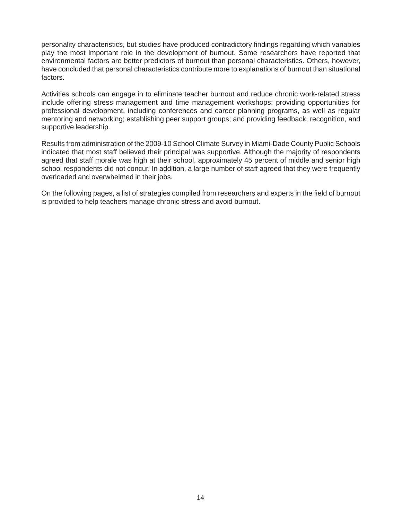personality characteristics, but studies have produced contradictory findings regarding which variables play the most important role in the development of burnout. Some researchers have reported that environmental factors are better predictors of burnout than personal characteristics. Others, however, have concluded that personal characteristics contribute more to explanations of burnout than situational factors.

Activities schools can engage in to eliminate teacher burnout and reduce chronic work-related stress include offering stress management and time management workshops; providing opportunities for professional development, including conferences and career planning programs, as well as regular mentoring and networking; establishing peer support groups; and providing feedback, recognition, and supportive leadership.

Results from administration of the 2009-10 School Climate Survey in Miami-Dade County Public Schools indicated that most staff believed their principal was supportive. Although the majority of respondents agreed that staff morale was high at their school, approximately 45 percent of middle and senior high school respondents did not concur. In addition, a large number of staff agreed that they were frequently overloaded and overwhelmed in their jobs.

On the following pages, a list of strategies compiled from researchers and experts in the field of burnout is provided to help teachers manage chronic stress and avoid burnout.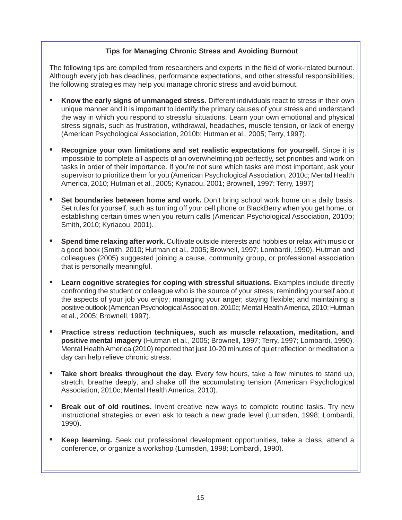# **Tips for Managing Chronic Stress and Avoiding Burnout**

The following tips are compiled from researchers and experts in the field of work-related burnout. Although every job has deadlines, performance expectations, and other stressful responsibilities, the following strategies may help you manage chronic stress and avoid burnout.

- **Know the early signs of unmanaged stress.** Different individuals react to stress in their own unique manner and it is important to identify the primary causes of your stress and understand the way in which you respond to stressful situations. Learn your own emotional and physical stress signals, such as frustration, withdrawal, headaches, muscle tension, or lack of energy (American Psychological Association, 2010b; Hutman et al., 2005; Terry, 1997).
- **Recognize your own limitations and set realistic expectations for yourself.** Since it is impossible to complete all aspects of an overwhelming job perfectly, set priorities and work on tasks in order of their importance. If you're not sure which tasks are most important, ask your supervisor to prioritize them for you (American Psychological Association, 2010c; Mental Health America, 2010; Hutman et al., 2005; Kyriacou, 2001; Brownell, 1997; Terry, 1997)
- **Set boundaries between home and work.** Don't bring school work home on a daily basis. Set rules for yourself, such as turning off your cell phone or BlackBerry when you get home, or establishing certain times when you return calls (American Psychological Association, 2010b; Smith, 2010; Kyriacou, 2001).
- **Spend time relaxing after work.** Cultivate outside interests and hobbies or relax with music or a good book (Smith, 2010; Hutman et al., 2005; Brownell, 1997; Lombardi, 1990). Hutman and colleagues (2005) suggested joining a cause, community group, or professional association that is personally meaningful.
- **Learn cognitive strategies for coping with stressful situations.** Examples include directly confronting the student or colleague who is the source of your stress; reminding yourself about the aspects of your job you enjoy; managing your anger; staying flexible; and maintaining a positive outlook (American Psychological Association, 2010c; Mental Health America, 2010; Hutman et al., 2005; Brownell, 1997).
- **Practice stress reduction techniques, such as muscle relaxation, meditation, and positive mental imagery** (Hutman et al., 2005; Brownell, 1997; Terry, 1997; Lombardi, 1990). Mental Health America (2010) reported that just 10-20 minutes of quiet reflection or meditation a day can help relieve chronic stress.
- **Take short breaks throughout the day.** Every few hours, take a few minutes to stand up, stretch, breathe deeply, and shake off the accumulating tension (American Psychological Association, 2010c; Mental Health America, 2010).
- **Break out of old routines.** Invent creative new ways to complete routine tasks. Try new instructional strategies or even ask to teach a new grade level (Lumsden, 1998; Lombardi, 1990).
- **Keep learning.** Seek out professional development opportunities, take a class, attend a conference, or organize a workshop (Lumsden, 1998; Lombardi, 1990).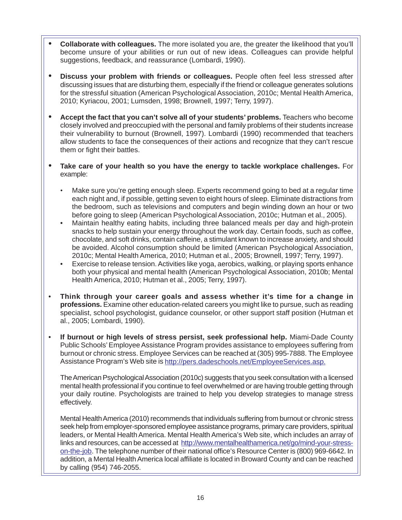- **Collaborate with colleagues.** The more isolated you are, the greater the likelihood that you'll become unsure of your abilities or run out of new ideas. Colleagues can provide helpful suggestions, feedback, and reassurance (Lombardi, 1990).
- **Discuss your problem with friends or colleagues.** People often feel less stressed after discussing issues that are disturbing them, especially if the friend or colleague generates solutions for the stressful situation (American Psychological Association, 2010c; Mental Health America, 2010; Kyriacou, 2001; Lumsden, 1998; Brownell, 1997; Terry, 1997).
- **Accept the fact that you can't solve all of your students' problems.** Teachers who become closely involved and preoccupied with the personal and family problems of their students increase their vulnerability to burnout (Brownell, 1997). Lombardi (1990) recommended that teachers allow students to face the consequences of their actions and recognize that they can't rescue them or fight their battles.
- **Take care of your health so you have the energy to tackle workplace challenges.** For example:
	- Make sure you're getting enough sleep. Experts recommend going to bed at a regular time each night and, if possible, getting seven to eight hours of sleep. Eliminate distractions from the bedroom, such as televisions and computers and begin winding down an hour or two before going to sleep (American Psychological Association, 2010c; Hutman et al., 2005).
	- Maintain healthy eating habits, including three balanced meals per day and high-protein snacks to help sustain your energy throughout the work day. Certain foods, such as coffee, chocolate, and soft drinks, contain caffeine, a stimulant known to increase anxiety, and should be avoided. Alcohol consumption should be limited (American Psychological Association, 2010c; Mental Health America, 2010; Hutman et al., 2005; Brownell, 1997; Terry, 1997).
	- Exercise to release tension. Activities like yoga, aerobics, walking, or playing sports enhance both your physical and mental health (American Psychological Association, 2010b; Mental Health America, 2010; Hutman et al., 2005; Terry, 1997).
- **Think through your career goals and assess whether it's time for a change in professions.** Examine other education-related careers you might like to pursue, such as reading specialist, school psychologist, guidance counselor, or other support staff position (Hutman et al., 2005; Lombardi, 1990).
- **If burnout or high levels of stress persist, seek professional help.** Miami-Dade County Public Schools' Employee Assistance Program provides assistance to employees suffering from burnout or chronic stress. Employee Services can be reached at (305) 995-7888. The Employee Assistance Program's Web site is http://pers.dadeschools.net/EmployeeServices.asp.

The American Psychological Association (2010c) suggests that you seek consultation with a licensed mental health professional if you continue to feel overwhelmed or are having trouble getting through your daily routine. Psychologists are trained to help you develop strategies to manage stress effectively.

Mental Health America (2010) recommends that individuals suffering from burnout or chronic stress seek help from employer-sponsored employee assistance programs, primary care providers, spiritual leaders, or Mental Health America. Mental Health America's Web site, which includes an array of links and resources, can be accessed at http://www.mentalhealthamerica.net/go/mind-your-stresson-the-job. The telephone number of their national office's Resource Center is (800) 969-6642. In addition, a Mental Health America local affiliate is located in Broward County and can be reached by calling (954) 746-2055.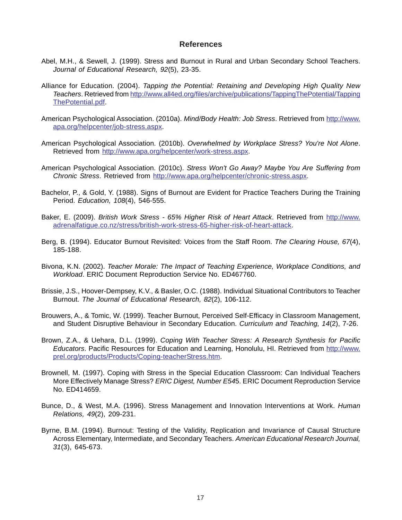# **References**

- Abel, M.H., & Sewell, J. (1999). Stress and Burnout in Rural and Urban Secondary School Teachers. *Journal of Educational Research, 92*(5), 23-35.
- Alliance for Education. (2004). *Tapping the Potential: Retaining and Developing High Quality New Teachers*. Retrieved from http://www.all4ed.org/files/archive/publications/TappingThePotential/Tapping ThePotential.pdf.
- American Psychological Association. (2010a). *Mind/Body Health: Job Stress*. Retrieved from http://www. apa.org/helpcenter/job-stress.aspx.
- American Psychological Association. (2010b). *Overwhelmed by Workplace Stress? You're Not Alone*. Retrieved from http://www.apa.org/helpcenter/work-stress.aspx.
- American Psychological Association. (2010c). *Stress Won't Go Away? Maybe You Are Suffering from Chronic Stress*. Retrieved from http://www.apa.org/helpcenter/chronic-stress.aspx.
- Bachelor, P., & Gold, Y. (1988). Signs of Burnout are Evident for Practice Teachers During the Training Period. *Education, 108*(4), 546-555.
- Baker, E. (2009). *British Work Stress 65% Higher Risk of Heart Attack*. Retrieved from http://www. adrenalfatigue.co.nz/stress/british-work-stress-65-higher-risk-of-heart-attack.
- Berg, B. (1994). Educator Burnout Revisited: Voices from the Staff Room. *The Clearing House, 67*(4), 185-188.
- Bivona, K.N. (2002). *Teacher Morale: The Impact of Teaching Experience, Workplace Conditions, and Workload*. ERIC Document Reproduction Service No. ED467760.
- Brissie, J.S., Hoover-Dempsey, K.V., & Basler, O.C. (1988). Individual Situational Contributors to Teacher Burnout. *The Journal of Educational Research, 82*(2), 106-112.
- Brouwers, A., & Tomic, W. (1999). Teacher Burnout, Perceived Self-Efficacy in Classroom Management, and Student Disruptive Behaviour in Secondary Education. *Curriculum and Teaching, 14*(2), 7-26.
- Brown, Z.A., & Uehara, D.L. (1999). *Coping With Teacher Stress: A Research Synthesis for Pacific Educators*. Pacific Resources for Education and Learning, Honolulu, HI. Retrieved from http://www. prel.org/products/Products/Coping-teacherStress.htm.
- Brownell, M. (1997). Coping with Stress in the Special Education Classroom: Can Individual Teachers More Effectively Manage Stress? *ERIC Digest, Number E54*5. ERIC Document Reproduction Service No. ED414659.
- Bunce, D., & West, M.A. (1996). Stress Management and Innovation Interventions at Work. *Human Relations, 49*(2), 209-231.
- Byrne, B.M. (1994). Burnout: Testing of the Validity, Replication and Invariance of Causal Structure Across Elementary, Intermediate, and Secondary Teachers. *American Educational Research Journal, 31*(3), 645-673.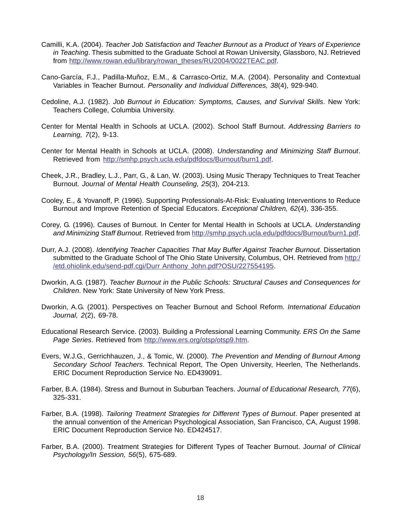- Camilli, K.A. (2004). *Teacher Job Satisfaction and Teacher Burnout as a Product of Years of Experience in Teaching*. Thesis submitted to the Graduate School at Rowan University, Glassboro, NJ. Retrieved from http://www.rowan.edu/library/rowan\_theses/RU2004/0022TEAC.pdf.
- Cano-García, F.J., Padilla-Muñoz, E.M., & Carrasco-Ortiz, M.A. (2004). Personality and Contextual Variables in Teacher Burnout. *Personality and Individual Differences, 38*(4), 929-940.
- Cedoline, A.J. (1982). *Job Burnout in Education: Symptoms, Causes, and Survival Skills*. New York: Teachers College, Columbia University.
- Center for Mental Health in Schools at UCLA. (2002). School Staff Burnout. *Addressing Barriers to Learning, 7*(2), 9-13.
- Center for Mental Health in Schools at UCLA. (2008). *Understanding and Minimizing Staff Burnout*. Retrieved from http://smhp.psych.ucla.edu/pdfdocs/Burnout/burn1.pdf.
- Cheek, J.R., Bradley, L.J., Parr, G., & Lan, W. (2003). Using Music Therapy Techniques to Treat Teacher Burnout. *Journal of Mental Health Counseling, 25*(3), 204-213.
- Cooley, E., & Yovanoff, P. (1996). Supporting Professionals-At-Risk: Evaluating Interventions to Reduce Burnout and Improve Retention of Special Educators. *Exceptional Children, 62*(4), 336-355.
- Corey, G. (1996). Causes of Burnout. In Center for Mental Health in Schools at UCLA. *Understanding and Minimizing Staff Burnout*. Retrieved from http://smhp.psych.ucla.edu/pdfdocs/Burnout/burn1.pdf.
- Durr, A.J. (2008). *Identifying Teacher Capacities That May Buffer Against Teacher Burnout*. Dissertation submitted to the Graduate School of The Ohio State University, Columbus, OH. Retrieved from http:/ /etd.ohiolink.edu/send-pdf.cgi/Durr Anthony John.pdf?OSU/227554195.
- Dworkin, A.G. (1987). *Teacher Burnout in the Public Schools: Structural Causes and Consequences for Children*. New York: State University of New York Press.
- Dworkin, A.G. (2001). Perspectives on Teacher Burnout and School Reform. *International Education Journal, 2*(2), 69-78.
- Educational Research Service. (2003). Building a Professional Learning Community. *ERS On the Same Page Series*. Retrieved from http://www.ers.org/otsp/otsp9.htm.
- Evers, W.J.G., Gerrichhauzen, J., & Tomic, W. (2000). *The Prevention and Mending of Burnout Among Secondary School Teachers*. Technical Report, The Open University, Heerlen, The Netherlands. ERIC Document Reproduction Service No. ED439091.
- Farber, B.A. (1984). Stress and Burnout in Suburban Teachers. *Journal of Educational Research, 77*(6), 325-331.
- Farber, B.A. (1998). *Tailoring Treatment Strategies for Different Types of Burnout*. Paper presented at the annual convention of the American Psychological Association, San Francisco, CA, August 1998. ERIC Document Reproduction Service No. ED424517.
- Farber, B.A. (2000). Treatment Strategies for Different Types of Teacher Burnout. J*ournal of Clinical Psychology/In Session, 56*(5), 675-689.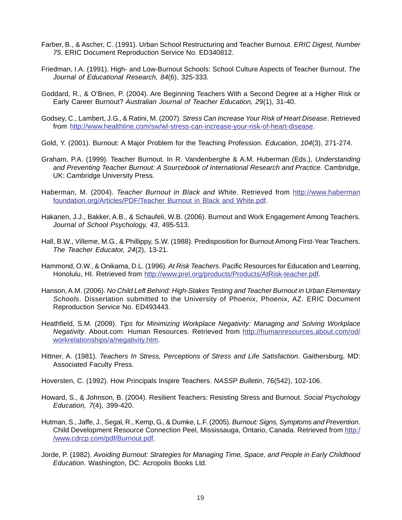- Farber, B., & Ascher, C. (1991). Urban School Restructuring and Teacher Burnout. *ERIC Digest, Number 75*. ERIC Document Reproduction Service No. ED340812.
- Friedman, I.A. (1991). High- and Low-Burnout Schools: School Culture Aspects of Teacher Burnout. *The Journal of Educational Research, 84*(6), 325-333.
- Goddard, R., & O'Brien, P. (2004). Are Beginning Teachers With a Second Degree at a Higher Risk or Early Career Burnout? *Australian Journal of Teacher Education, 2*9(1), 31-40.
- Godsey, C., Lambert, J.G., & Ratini, M. (2007). *Stress Can Increase Your Risk of Heart Disease*. Retrieved from http://www.healthline.com/sw/wl-stress-can-increase-your-risk-of-heart-disease.
- Gold, Y. (2001). Burnout: A Major Problem for the Teaching Profession. *Education, 104*(3), 271-274.
- Graham, P.A. (1999). Teacher Burnout. In R. Vandenberghe & A.M. Huberman (Eds.), *Understanding and Preventing Teacher Burnout: A Sourcebook of International Research and Practice*. Cambridge, UK: Cambridge University Press.
- Haberman, M. (2004). *Teacher Burnout in Black and White*. Retrieved from http://www.haberman foundation.org/Articles/PDF/Teacher Burnout in Black and White.pdf.
- Hakanen, J.J., Bakker, A.B., & Schaufeli, W.B. (2006). Burnout and Work Engagement Among Teachers. *Journal of School Psychology, 43*, 495-513.
- Hall, B.W., Villeme, M.G., & Phillippy, S.W. (1988). Predisposition for Burnout Among First-Year Teachers. *The Teacher Educator, 24*(2), 13-21.
- Hammond, O.W., & Onikama, D.L. (1996). *At Risk Teachers*. Pacific Resources for Education and Learning, Honolulu, HI. Retrieved from http://www.prel.org/products/Products/AtRisk-teacher.pdf.
- Hanson, A.M. (2006). *No Child Left Behind: High-Stakes Testing and Teacher Burnout in Urban Elementary Schools*. Dissertation submitted to the University of Phoenix, Phoenix, AZ. ERIC Document Reproduction Service No. ED493443.
- Heathfield, S.M. (2009). *Tips for Minimizing Workplace Negativity: Managing and Solving Workplace Negativity*. About.com: Human Resources. Retrieved from http://humanresources.about.com/od/ workrelationships/a/negativity.htm.
- Hittner, A. (1981). *Teachers In Stress, Perceptions of Stress and Life Satisfaction*. Gaithersburg, MD: Associated Faculty Press.
- Hoversten, C. (1992). How Principals Inspire Teachers. *NASSP Bulletin*, 76(542), 102-106.
- Howard, S., & Johnson, B. (2004). Resilient Teachers: Resisting Stress and Burnout. *Social Psychology Education, 7*(4), 399-420.
- Hutman, S., Jaffe, J., Segal, R., Kemp, G., & Dumke, L.F. (2005). *Burnout: Signs, Symptoms and Prevention*. Child Development Resource Connection Peel, Mississauga, Ontario, Canada. Retrieved from http:/ /www.cdrcp.com/pdf/Burnout.pdf.
- Jorde, P. (1982). *Avoiding Burnout: Strategies for Managing Time, Space, and People in Early Childhood Education*. Washington, DC: Acropolis Books Ltd.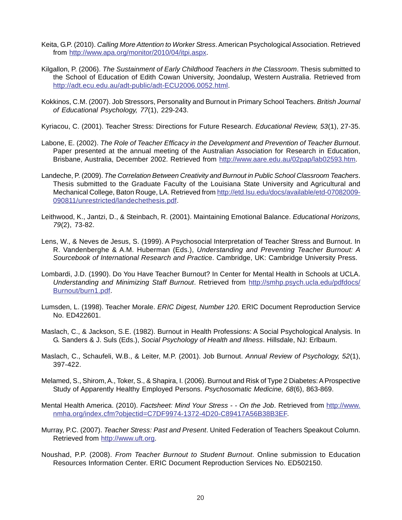- Keita, G.P. (2010). *Calling More Attention to Worker Stress*. American Psychological Association. Retrieved from http://www.apa.org/monitor/2010/04/itpi.aspx.
- Kilgallon, P. (2006). *The Sustainment of Early Childhood Teachers in the Classroom*. Thesis submitted to the School of Education of Edith Cowan University, Joondalup, Western Australia. Retrieved from http://adt.ecu.edu.au/adt-public/adt-ECU2006.0052.html.
- Kokkinos, C.M. (2007). Job Stressors, Personality and Burnout in Primary School Teachers. *British Journal of Educational Psychology, 77*(1), 229-243.
- Kyriacou, C. (2001). Teacher Stress: Directions for Future Research. *Educational Review, 53*(1), 27-35.
- Labone, E. (2002). *The Role of Teacher Efficacy in the Development and Prevention of Teacher Burnout*. Paper presented at the annual meeting of the Australian Association for Research in Education, Brisbane, Australia, December 2002. Retrieved from http://www.aare.edu.au/02pap/lab02593.htm.
- Landeche, P. (2009). *The Correlation Between Creativity and Burnout in Public School Classroom Teachers*. Thesis submitted to the Graduate Faculty of the Louisiana State University and Agricultural and Mechanical College, Baton Rouge, LA. Retrieved from http://etd.lsu.edu/docs/available/etd-07082009- 090811/unrestricted/landechethesis.pdf.
- Leithwood, K., Jantzi, D., & Steinbach, R. (2001). Maintaining Emotional Balance. *Educational Horizons, 79*(2), 73-82.
- Lens, W., & Neves de Jesus, S. (1999). A Psychosocial Interpretation of Teacher Stress and Burnout. In R. Vandenberghe & A.M. Huberman (Eds.), *Understanding and Preventing Teacher Burnout: A Sourcebook of International Research and Practic*e. Cambridge, UK: Cambridge University Press.
- Lombardi, J.D. (1990). Do You Have Teacher Burnout? In Center for Mental Health in Schools at UCLA. *Understanding and Minimizing Staff Burnout*. Retrieved from http://smhp.psych.ucla.edu/pdfdocs/ Burnout/burn1.pdf.
- Lumsden, L. (1998). Teacher Morale. *ERIC Digest, Number 120*. ERIC Document Reproduction Service No. ED422601.
- Maslach, C., & Jackson, S.E. (1982). Burnout in Health Professions: A Social Psychological Analysis. In G. Sanders & J. Suls (Eds.), *Social Psychology of Health and Illness*. Hillsdale, NJ: Erlbaum.
- Maslach, C., Schaufeli, W.B., & Leiter, M.P. (2001). Job Burnout. *Annual Review of Psychology, 52*(1), 397-422.
- Melamed, S., Shirom, A., Toker, S., & Shapira, I. (2006). Burnout and Risk of Type 2 Diabetes: A Prospective Study of Apparently Healthy Employed Persons. *Psychosomatic Medicine, 68*(6), 863-869.
- Mental Health America. (2010). *Factsheet: Mind Your Stress - On the Job*. Retrieved from http://www. nmha.org/index.cfm?objectid=C7DF9974-1372-4D20-C89417A56B38B3EF.
- Murray, P.C. (2007). *Teacher Stress: Past and Present*. United Federation of Teachers Speakout Column. Retrieved from http://www.uft.org.
- Noushad, P.P. (2008). *From Teacher Burnout to Student Burnout*. Online submission to Education Resources Information Center. ERIC Document Reproduction Services No. ED502150.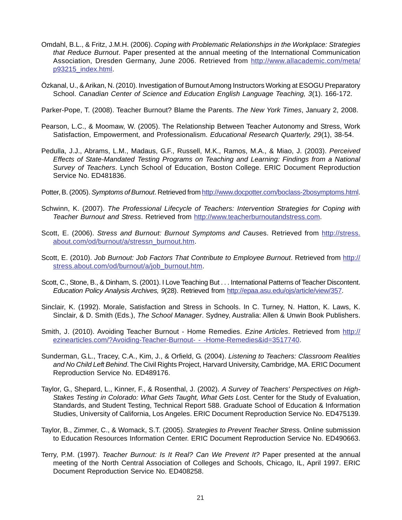- Omdahl, B.L., & Fritz, J.M.H. (2006). *Coping with Problematic Relationships in the Workplace: Strategies that Reduce Burnout*. Paper presented at the annual meeting of the International Communication Association, Dresden Germany, June 2006. Retrieved from http://www.allacademic.com/meta/ p93215\_index.html.
- Özkanal, U., & Arikan, N. (2010). Investigation of Burnout Among Instructors Working at ESOGU Preparatory School. *Canadian Center of Science and Education English Language Teaching, 3*(1). 166-172.

Parker-Pope, T. (2008). Teacher Burnout? Blame the Parents. *The New York Times*, January 2, 2008.

- Pearson, L.C., & Moomaw, W. (2005). The Relationship Between Teacher Autonomy and Stress, Work Satisfaction, Empowerment, and Professionalism. *Educational Research Quarterly, 29*(1), 38-54.
- Pedulla, J.J., Abrams, L.M., Madaus, G.F., Russell, M.K., Ramos, M.A., & Miao, J. (2003). *Perceived Effects of State-Mandated Testing Programs on Teaching and Learning: Findings from a National Survey of Teachers*. Lynch School of Education, Boston College. ERIC Document Reproduction Service No. ED481836.
- Potter, B. (2005). *Symptoms of Burnout*. Retrieved from http://www.docpotter.com/boclass-2bosymptoms.html.
- Schwinn, K. (2007). *The Professional Lifecycle of Teachers: Intervention Strategies for Coping with Teacher Burnout and Stress*. Retrieved from http://www.teacherburnoutandstress.com.
- Scott, E. (2006). *Stress and Burnout: Burnout Symptoms and Caus*es. Retrieved from http://stress. about.com/od/burnout/a/stressn\_burnout.htm.
- Scott, E. (2010). *Job Burnout: Job Factors That Contribute to Employee Burnout*. Retrieved from http:// stress.about.com/od/burnout/a/job\_burnout.htm.
- Scott, C., Stone, B., & Dinham, S. (2001). I Love Teaching But . . . International Patterns of Teacher Discontent. *Education Policy Analysis Archives, 9*(28). Retrieved from http://epaa.asu.edu/ojs/article/view/357.
- Sinclair, K. (1992). Morale, Satisfaction and Stress in Schools. In C. Turney, N. Hatton, K. Laws, K. Sinclair, & D. Smith (Eds.), *The School Manager*. Sydney, Australia: Allen & Unwin Book Publishers.
- Smith, J. (2010). Avoiding Teacher Burnout Home Remedies. *Ezine Articles*. Retrieved from http:// ezinearticles.com/?Avoiding-Teacher-Burnout- - -Home-Remedies&id=3517740.
- Sunderman, G.L., Tracey, C.A., Kim, J., & Orfield, G. (2004). *Listening to Teachers: Classroom Realities and No Child Left Behind*. The Civil Rights Project, Harvard University, Cambridge, MA. ERIC Document Reproduction Service No. ED489176.
- Taylor, G., Shepard, L., Kinner, F., & Rosenthal, J. (2002). *A Survey of Teachers' Perspectives on High-Stakes Testing in Colorado: What Gets Taught, What Gets Los*t. Center for the Study of Evaluation, Standards, and Student Testing, Technical Report 588. Graduate School of Education & Information Studies, University of California, Los Angeles. ERIC Document Reproduction Service No. ED475139.
- Taylor, B., Zimmer, C., & Womack, S.T. (2005). *Strategies to Prevent Teacher Stres*s. Online submission to Education Resources Information Center. ERIC Document Reproduction Service No. ED490663.
- Terry, P.M. (1997). *Teacher Burnout: Is It Real? Can We Prevent It?* Paper presented at the annual meeting of the North Central Association of Colleges and Schools, Chicago, IL, April 1997. ERIC Document Reproduction Service No. ED408258.